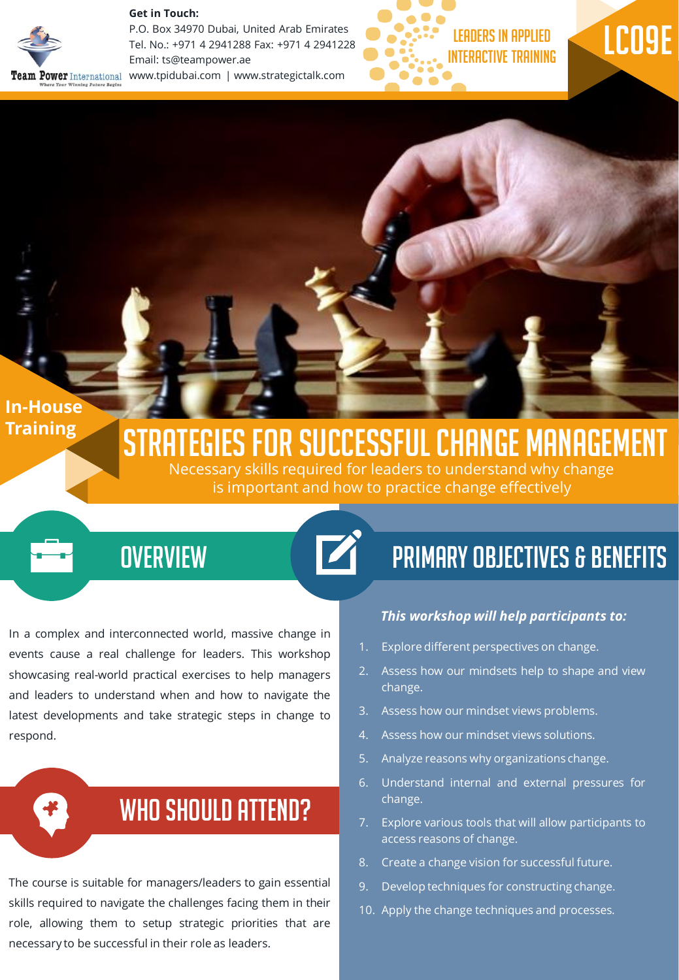#### **Get in Touch:**



P.O. Box 34970 Dubai, United Arab Emirates Tel. No.: +971 4 2941288 Fax: +971 4 2941228 Email: ts@teampower.ae **Team Power** International www.tpidubai.com | www.strategictalk.com





## **In-House Training**

# Strategies for successful change management

Necessary skills required for leaders to understand why change is important and how to practice change effectively

## **OVERVIEW**

In a complex and interconnected world, massive change in events cause a real challenge for leaders. This workshop showcasing real-world practical exercises to help managers and leaders to understand when and how to navigate the latest developments and take strategic steps in change to respond.

## WHO SHOULD ATTEND?

The course is suitable for managers/leaders to gain essential skills required to navigate the challenges facing them in their role, allowing them to setup strategic priorities that are necessary to be successful in their role as leaders. Who Should Attend?

## Primary Objectives & Benefits

#### *This workshop will help participants to:*

- 1. Explore different perspectives on change.
- 2. Assess how our mindsets help to shape and view change.
- 3. Assess how our mindset views problems.
- 4. Assess how our mindset views solutions.
- 5. Analyze reasons why organizations change.
- 6. Understand internal and external pressures for change.
- 7. Explore various tools that will allow participants to access reasons of change.
- 8. Create a change vision for successful future.
- 9. Develop techniques for constructing change.
- 10. Apply the change techniques and processes.